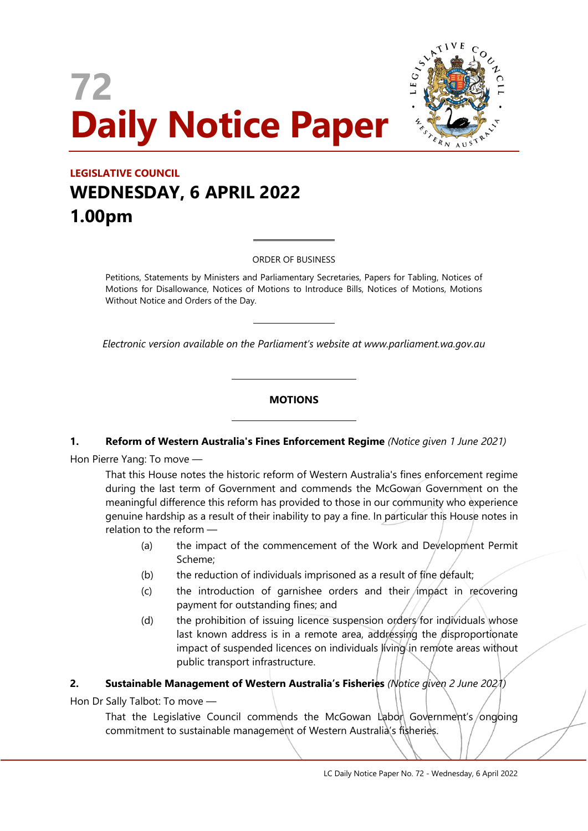# **72 Daily Notice Paper**



### **LEGISLATIVE COUNCIL WEDNESDAY, 6 APRIL 2022 1.00pm**

ORDER OF BUSINESS

 $\overline{a}$ 

 $\overline{a}$ 

 $\overline{\phantom{a}}$ 

 $\overline{\phantom{a}}$ 

Petitions, Statements by Ministers and Parliamentary Secretaries, Papers for Tabling, Notices of Motions for Disallowance, Notices of Motions to Introduce Bills, Notices of Motions, Motions Without Notice and Orders of the Day.

*Electronic version available on the Parliament's website at www.parliament.wa.gov.au*

#### **MOTIONS**

#### **1. Reform of Western Australia's Fines Enforcement Regime** *(Notice given 1 June 2021)*

Hon Pierre Yang: To move —

That this House notes the historic reform of Western Australia's fines enforcement regime during the last term of Government and commends the McGowan Government on the meaningful difference this reform has provided to those in our community who experience genuine hardship as a result of their inability to pay a fine. In particular this House notes in relation to the reform —

- (a) the impact of the commencement of the Work and Development Permit Scheme;
- (b) the reduction of individuals imprisoned as a result of fine default;
- $(c)$  the introduction of garnishee orders and their impact in recovering payment for outstanding fines; and
- (d) the prohibition of issuing licence suspension orders for individuals whose last known address is in a remote area, addressing the disproportionate impact of suspended licences on individuals living in remote areas without public transport infrastructure.

#### **2. Sustainable Management of Western Australia's Fisheries** *(Notice given 2 June 2021)*

Hon Dr Sally Talbot: To move —

That the Legislative Council commends the McGowan Labor Government's/ongoing commitment to sustainable management of Western Australia's fisheries.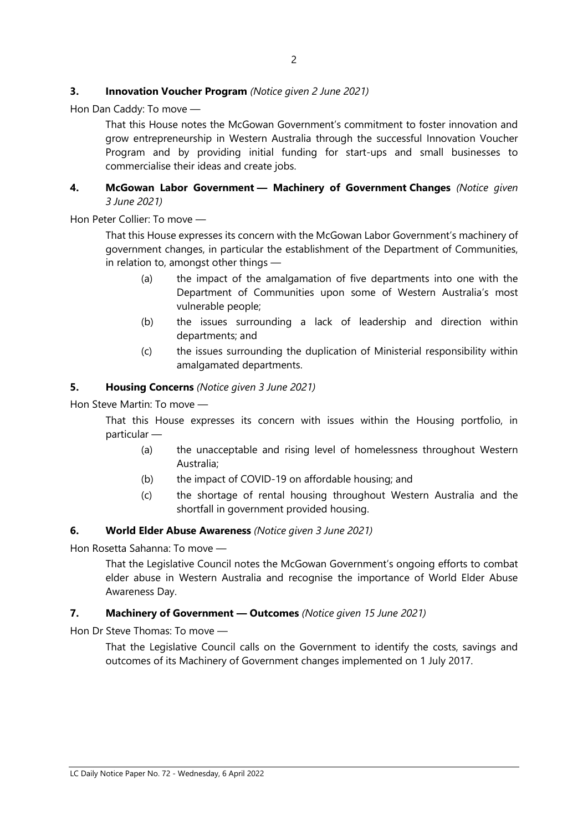#### **3. Innovation Voucher Program** *(Notice given 2 June 2021)*

Hon Dan Caddy: To move —

That this House notes the McGowan Government's commitment to foster innovation and grow entrepreneurship in Western Australia through the successful Innovation Voucher Program and by providing initial funding for start-ups and small businesses to commercialise their ideas and create jobs.

#### **4. McGowan Labor Government — Machinery of Government Changes** *(Notice given 3 June 2021)*

Hon Peter Collier: To move —

That this House expresses its concern with the McGowan Labor Government's machinery of government changes, in particular the establishment of the Department of Communities, in relation to, amongst other things —

- (a) the impact of the amalgamation of five departments into one with the Department of Communities upon some of Western Australia's most vulnerable people;
- (b) the issues surrounding a lack of leadership and direction within departments; and
- (c) the issues surrounding the duplication of Ministerial responsibility within amalgamated departments.

#### **5. Housing Concerns** *(Notice given 3 June 2021)*

Hon Steve Martin: To move —

That this House expresses its concern with issues within the Housing portfolio, in particular —

- (a) the unacceptable and rising level of homelessness throughout Western Australia;
- (b) the impact of COVID-19 on affordable housing; and
- (c) the shortage of rental housing throughout Western Australia and the shortfall in government provided housing.

#### **6. World Elder Abuse Awareness** *(Notice given 3 June 2021)*

Hon Rosetta Sahanna: To move —

That the Legislative Council notes the McGowan Government's ongoing efforts to combat elder abuse in Western Australia and recognise the importance of World Elder Abuse Awareness Day.

#### **7. Machinery of Government — Outcomes** *(Notice given 15 June 2021)*

Hon Dr Steve Thomas: To move —

That the Legislative Council calls on the Government to identify the costs, savings and outcomes of its Machinery of Government changes implemented on 1 July 2017.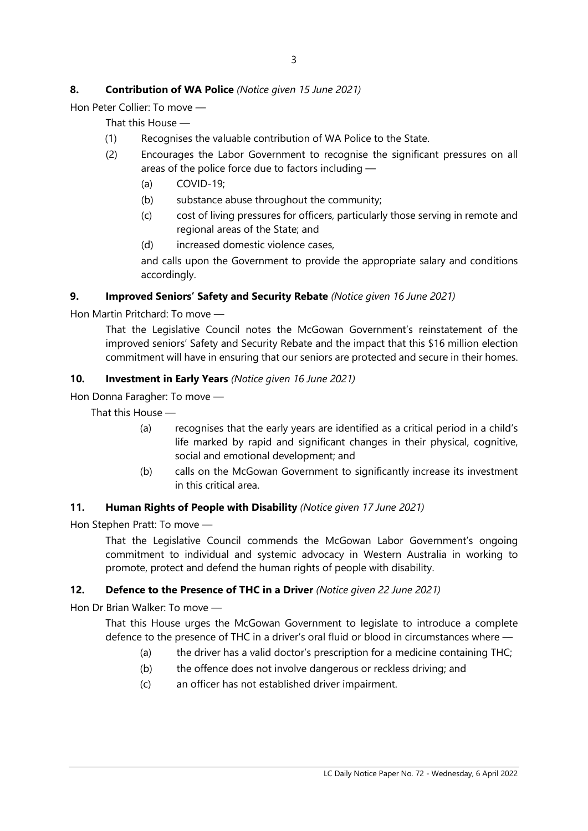#### **8. Contribution of WA Police** *(Notice given 15 June 2021)*

Hon Peter Collier: To move —

That this House —

- (1) Recognises the valuable contribution of WA Police to the State.
- (2) Encourages the Labor Government to recognise the significant pressures on all areas of the police force due to factors including —
	- (a) COVID-19;
	- (b) substance abuse throughout the community;
	- (c) cost of living pressures for officers, particularly those serving in remote and regional areas of the State; and
	- (d) increased domestic violence cases,

and calls upon the Government to provide the appropriate salary and conditions accordingly.

#### **9. Improved Seniors' Safety and Security Rebate** *(Notice given 16 June 2021)*

Hon Martin Pritchard: To move —

That the Legislative Council notes the McGowan Government's reinstatement of the improved seniors' Safety and Security Rebate and the impact that this \$16 million election commitment will have in ensuring that our seniors are protected and secure in their homes.

#### **10. Investment in Early Years** *(Notice given 16 June 2021)*

Hon Donna Faragher: To move —

That this House —

- (a) recognises that the early years are identified as a critical period in a child's life marked by rapid and significant changes in their physical, cognitive, social and emotional development; and
- (b) calls on the McGowan Government to significantly increase its investment in this critical area.

#### **11. Human Rights of People with Disability** *(Notice given 17 June 2021)*

Hon Stephen Pratt: To move —

That the Legislative Council commends the McGowan Labor Government's ongoing commitment to individual and systemic advocacy in Western Australia in working to promote, protect and defend the human rights of people with disability.

#### **12. Defence to the Presence of THC in a Driver** *(Notice given 22 June 2021)*

Hon Dr Brian Walker: To move —

That this House urges the McGowan Government to legislate to introduce a complete defence to the presence of THC in a driver's oral fluid or blood in circumstances where —

- (a) the driver has a valid doctor's prescription for a medicine containing THC;
- (b) the offence does not involve dangerous or reckless driving; and
- (c) an officer has not established driver impairment.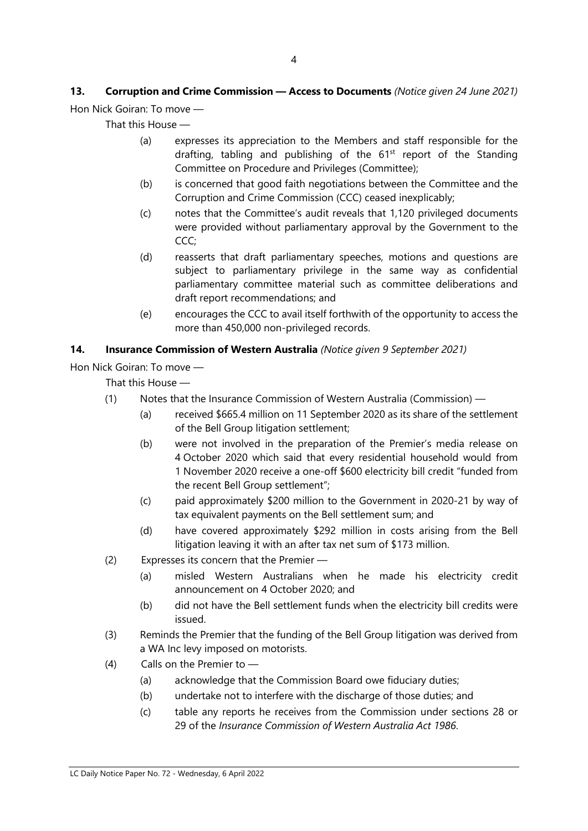## **13. Corruption and Crime Commission — Access to Documents** *(Notice given 24 June 2021)*

Hon Nick Goiran: To move —

That this House —

- (a) expresses its appreciation to the Members and staff responsible for the drafting, tabling and publishing of the  $61<sup>st</sup>$  report of the Standing Committee on Procedure and Privileges (Committee);
- (b) is concerned that good faith negotiations between the Committee and the Corruption and Crime Commission (CCC) ceased inexplicably;
- (c) notes that the Committee's audit reveals that 1,120 privileged documents were provided without parliamentary approval by the Government to the CCC;
- (d) reasserts that draft parliamentary speeches, motions and questions are subject to parliamentary privilege in the same way as confidential parliamentary committee material such as committee deliberations and draft report recommendations; and
- (e) encourages the CCC to avail itself forthwith of the opportunity to access the more than 450,000 non-privileged records.

#### **14. Insurance Commission of Western Australia** *(Notice given 9 September 2021)*

Hon Nick Goiran: To move —

That this House —

- (1) Notes that the Insurance Commission of Western Australia (Commission)
	- (a) received \$665.4 million on 11 September 2020 as its share of the settlement of the Bell Group litigation settlement;
	- (b) were not involved in the preparation of the Premier's media release on 4 October 2020 which said that every residential household would from 1 November 2020 receive a one-off \$600 electricity bill credit "funded from the recent Bell Group settlement";
	- (c) paid approximately \$200 million to the Government in 2020-21 by way of tax equivalent payments on the Bell settlement sum; and
	- (d) have covered approximately \$292 million in costs arising from the Bell litigation leaving it with an after tax net sum of \$173 million.
- (2) Expresses its concern that the Premier
	- (a) misled Western Australians when he made his electricity credit announcement on 4 October 2020; and
	- (b) did not have the Bell settlement funds when the electricity bill credits were issued.
- (3) Reminds the Premier that the funding of the Bell Group litigation was derived from a WA Inc levy imposed on motorists.
- (4) Calls on the Premier to
	- (a) acknowledge that the Commission Board owe fiduciary duties;
	- (b) undertake not to interfere with the discharge of those duties; and
	- (c) table any reports he receives from the Commission under sections 28 or 29 of the *Insurance Commission of Western Australia Act 1986*.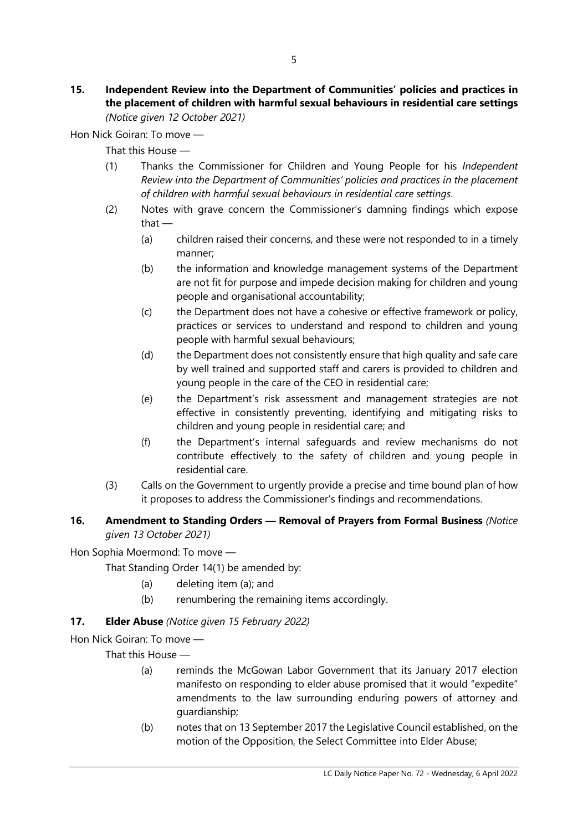#### **15. Independent Review into the Department of Communities' policies and practices in the placement of children with harmful sexual behaviours in residential care settings** *(Notice given 12 October 2021)*

Hon Nick Goiran: To move —

That this House —

- (1) Thanks the Commissioner for Children and Young People for his *Independent Review into the Department of Communities' policies and practices in the placement of children with harmful sexual behaviours in residential care settings*.
- (2) Notes with grave concern the Commissioner's damning findings which expose that —
	- (a) children raised their concerns, and these were not responded to in a timely manner;
	- (b) the information and knowledge management systems of the Department are not fit for purpose and impede decision making for children and young people and organisational accountability;
	- (c) the Department does not have a cohesive or effective framework or policy, practices or services to understand and respond to children and young people with harmful sexual behaviours;
	- (d) the Department does not consistently ensure that high quality and safe care by well trained and supported staff and carers is provided to children and young people in the care of the CEO in residential care;
	- (e) the Department's risk assessment and management strategies are not effective in consistently preventing, identifying and mitigating risks to children and young people in residential care; and
	- (f) the Department's internal safeguards and review mechanisms do not contribute effectively to the safety of children and young people in residential care.
- (3) Calls on the Government to urgently provide a precise and time bound plan of how it proposes to address the Commissioner's findings and recommendations.

#### **16. Amendment to Standing Orders — Removal of Prayers from Formal Business** *(Notice given 13 October 2021)*

Hon Sophia Moermond: To move —

That Standing Order 14(1) be amended by:

- (a) deleting item (a); and
- (b) renumbering the remaining items accordingly.

#### **17. Elder Abuse** *(Notice given 15 February 2022)*

Hon Nick Goiran: To move —

That this House —

- (a) reminds the McGowan Labor Government that its January 2017 election manifesto on responding to elder abuse promised that it would "expedite" amendments to the law surrounding enduring powers of attorney and guardianship;
- (b) notes that on 13 September 2017 the Legislative Council established, on the motion of the Opposition, the Select Committee into Elder Abuse;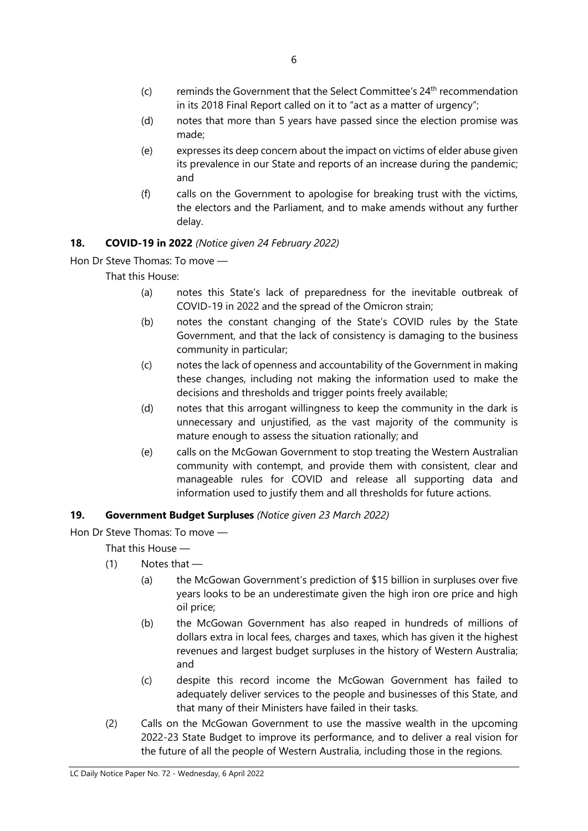- $(c)$  reminds the Government that the Select Committee's  $24<sup>th</sup>$  recommendation in its 2018 Final Report called on it to "act as a matter of urgency";
- (d) notes that more than 5 years have passed since the election promise was made;
- (e) expresses its deep concern about the impact on victims of elder abuse given its prevalence in our State and reports of an increase during the pandemic; and
- (f) calls on the Government to apologise for breaking trust with the victims, the electors and the Parliament, and to make amends without any further delay.

#### **18. COVID-19 in 2022** *(Notice given 24 February 2022)*

Hon Dr Steve Thomas: To move —

That this House:

- (a) notes this State's lack of preparedness for the inevitable outbreak of COVID-19 in 2022 and the spread of the Omicron strain;
- (b) notes the constant changing of the State's COVID rules by the State Government, and that the lack of consistency is damaging to the business community in particular;
- (c) notes the lack of openness and accountability of the Government in making these changes, including not making the information used to make the decisions and thresholds and trigger points freely available;
- (d) notes that this arrogant willingness to keep the community in the dark is unnecessary and unjustified, as the vast majority of the community is mature enough to assess the situation rationally; and
- (e) calls on the McGowan Government to stop treating the Western Australian community with contempt, and provide them with consistent, clear and manageable rules for COVID and release all supporting data and information used to justify them and all thresholds for future actions.

#### **19. Government Budget Surpluses** *(Notice given 23 March 2022)*

Hon Dr Steve Thomas: To move —

That this House —

- $(1)$  Notes that
	- (a) the McGowan Government's prediction of \$15 billion in surpluses over five years looks to be an underestimate given the high iron ore price and high oil price;
	- (b) the McGowan Government has also reaped in hundreds of millions of dollars extra in local fees, charges and taxes, which has given it the highest revenues and largest budget surpluses in the history of Western Australia; and
	- (c) despite this record income the McGowan Government has failed to adequately deliver services to the people and businesses of this State, and that many of their Ministers have failed in their tasks.
- (2) Calls on the McGowan Government to use the massive wealth in the upcoming 2022-23 State Budget to improve its performance, and to deliver a real vision for the future of all the people of Western Australia, including those in the regions.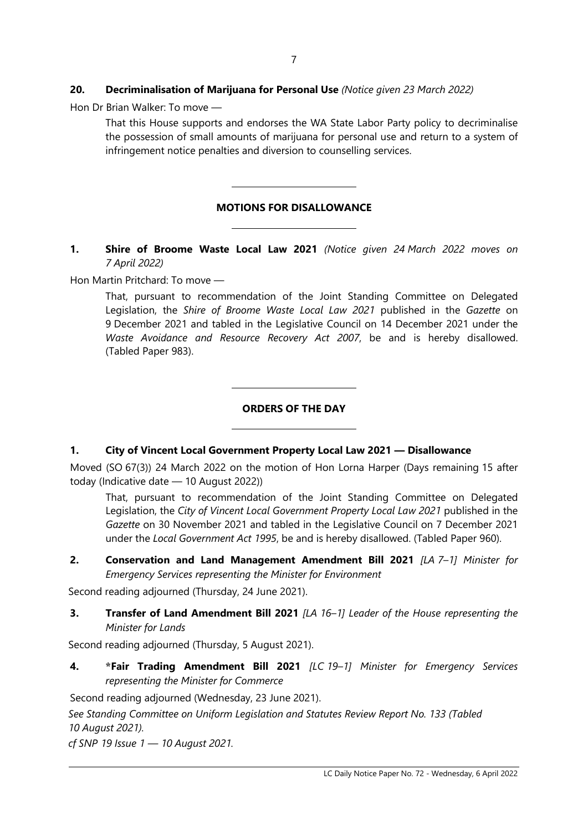#### **20. Decriminalisation of Marijuana for Personal Use** *(Notice given 23 March 2022)*

 $\overline{\phantom{a}}$ 

 $\overline{\phantom{a}}$ 

 $\overline{\phantom{a}}$ 

 $\overline{\phantom{a}}$ 

Hon Dr Brian Walker: To move —

That this House supports and endorses the WA State Labor Party policy to decriminalise the possession of small amounts of marijuana for personal use and return to a system of infringement notice penalties and diversion to counselling services.

#### **MOTIONS FOR DISALLOWANCE**

#### **1. Shire of Broome Waste Local Law 2021** *(Notice given 24 March 2022 moves on 7 April 2022)*

Hon Martin Pritchard: To move —

That, pursuant to recommendation of the Joint Standing Committee on Delegated Legislation, the *Shire of Broome Waste Local Law 2021* published in the *Gazette* on 9 December 2021 and tabled in the Legislative Council on 14 December 2021 under the *Waste Avoidance and Resource Recovery Act 2007*, be and is hereby disallowed. (Tabled Paper 983).

#### **ORDERS OF THE DAY**

#### **1. City of Vincent Local Government Property Local Law 2021 — Disallowance**

Moved (SO 67(3)) 24 March 2022 on the motion of Hon Lorna Harper (Days remaining 15 after today (Indicative date — 10 August 2022))

That, pursuant to recommendation of the Joint Standing Committee on Delegated Legislation, the *City of Vincent Local Government Property Local Law 2021* published in the *Gazette* on 30 November 2021 and tabled in the Legislative Council on 7 December 2021 under the *Local Government Act 1995*, be and is hereby disallowed. (Tabled Paper 960).

**2. Conservation and Land Management Amendment Bill 2021** *[LA 7–1] Minister for Emergency Services representing the Minister for Environment*

Second reading adjourned (Thursday, 24 June 2021).

**3. Transfer of Land Amendment Bill 2021** *[LA 16–1] Leader of the House representing the Minister for Lands*

Second reading adjourned (Thursday, 5 August 2021).

**4. \*Fair Trading Amendment Bill 2021** *[LC 19–1] Minister for Emergency Services representing the Minister for Commerce*

Second reading adjourned (Wednesday, 23 June 2021).

*See Standing Committee on Uniform Legislation and Statutes Review Report No. 133 (Tabled 10 August 2021).*

*cf SNP 19 Issue 1 — 10 August 2021.*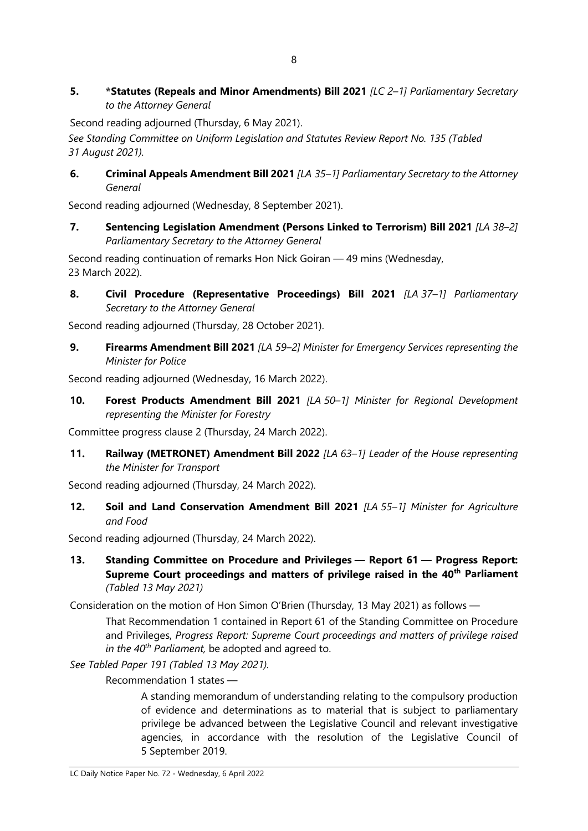**5. \*Statutes (Repeals and Minor Amendments) Bill 2021** *[LC 2–1] Parliamentary Secretary to the Attorney General*

Second reading adjourned (Thursday, 6 May 2021).

*See Standing Committee on Uniform Legislation and Statutes Review Report No. 135 (Tabled 31 August 2021).*

**6. Criminal Appeals Amendment Bill 2021** *[LA 35–1] Parliamentary Secretary to the Attorney General*

Second reading adjourned (Wednesday, 8 September 2021).

**7. Sentencing Legislation Amendment (Persons Linked to Terrorism) Bill 2021** *[LA 38–2] Parliamentary Secretary to the Attorney General*

Second reading continuation of remarks Hon Nick Goiran — 49 mins (Wednesday, 23 March 2022).

**8. Civil Procedure (Representative Proceedings) Bill 2021** *[LA 37–1] Parliamentary Secretary to the Attorney General*

Second reading adjourned (Thursday, 28 October 2021).

**9. Firearms Amendment Bill 2021** *[LA 59–2] Minister for Emergency Services representing the Minister for Police*

Second reading adjourned (Wednesday, 16 March 2022).

**10. Forest Products Amendment Bill 2021** *[LA 50–1] Minister for Regional Development representing the Minister for Forestry*

Committee progress clause 2 (Thursday, 24 March 2022).

**11. Railway (METRONET) Amendment Bill 2022** *[LA 63–1] Leader of the House representing the Minister for Transport*

Second reading adjourned (Thursday, 24 March 2022).

**12. Soil and Land Conservation Amendment Bill 2021** *[LA 55–1] Minister for Agriculture and Food*

Second reading adjourned (Thursday, 24 March 2022).

**13. Standing Committee on Procedure and Privileges — Report 61 — Progress Report: Supreme Court proceedings and matters of privilege raised in the 40th Parliament** *(Tabled 13 May 2021)*

Consideration on the motion of Hon Simon O'Brien (Thursday, 13 May 2021) as follows —

That Recommendation 1 contained in Report 61 of the Standing Committee on Procedure and Privileges, *Progress Report: Supreme Court proceedings and matters of privilege raised in the 40th Parliament,* be adopted and agreed to.

*See Tabled Paper 191 (Tabled 13 May 2021).*

Recommendation 1 states —

A standing memorandum of understanding relating to the compulsory production of evidence and determinations as to material that is subject to parliamentary privilege be advanced between the Legislative Council and relevant investigative agencies, in accordance with the resolution of the Legislative Council of 5 September 2019.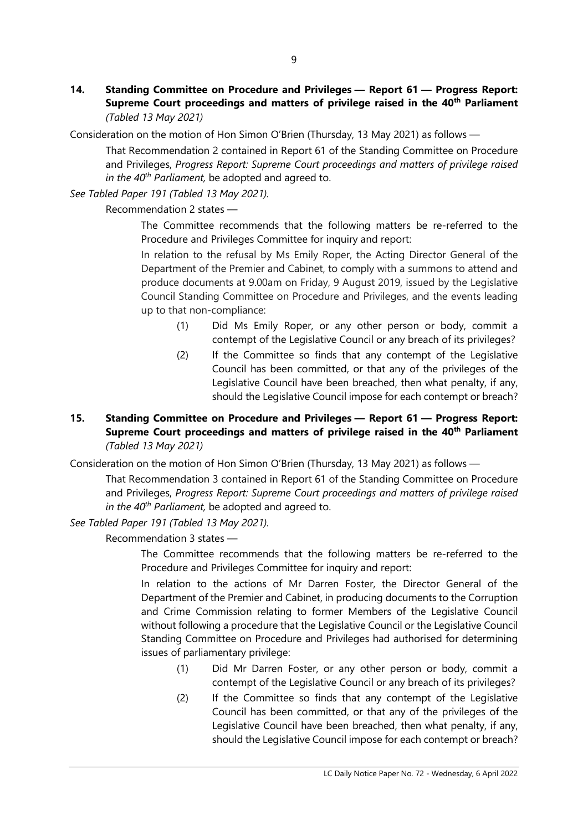**14. Standing Committee on Procedure and Privileges — Report 61 — Progress Report: Supreme Court proceedings and matters of privilege raised in the 40th Parliament** *(Tabled 13 May 2021)*

Consideration on the motion of Hon Simon O'Brien (Thursday, 13 May 2021) as follows —

That Recommendation 2 contained in Report 61 of the Standing Committee on Procedure and Privileges, *Progress Report: Supreme Court proceedings and matters of privilege raised in the 40th Parliament,* be adopted and agreed to.

*See Tabled Paper 191 (Tabled 13 May 2021).*

Recommendation 2 states —

The Committee recommends that the following matters be re-referred to the Procedure and Privileges Committee for inquiry and report:

In relation to the refusal by Ms Emily Roper, the Acting Director General of the Department of the Premier and Cabinet, to comply with a summons to attend and produce documents at 9.00am on Friday, 9 August 2019, issued by the Legislative Council Standing Committee on Procedure and Privileges, and the events leading up to that non-compliance:

- (1) Did Ms Emily Roper, or any other person or body, commit a contempt of the Legislative Council or any breach of its privileges?
- (2) If the Committee so finds that any contempt of the Legislative Council has been committed, or that any of the privileges of the Legislative Council have been breached, then what penalty, if any, should the Legislative Council impose for each contempt or breach?

#### **15. Standing Committee on Procedure and Privileges — Report 61 — Progress Report: Supreme Court proceedings and matters of privilege raised in the 40th Parliament** *(Tabled 13 May 2021)*

Consideration on the motion of Hon Simon O'Brien (Thursday, 13 May 2021) as follows —

That Recommendation 3 contained in Report 61 of the Standing Committee on Procedure and Privileges, *Progress Report: Supreme Court proceedings and matters of privilege raised in the 40th Parliament,* be adopted and agreed to.

*See Tabled Paper 191 (Tabled 13 May 2021).*

Recommendation 3 states —

The Committee recommends that the following matters be re-referred to the Procedure and Privileges Committee for inquiry and report:

In relation to the actions of Mr Darren Foster, the Director General of the Department of the Premier and Cabinet, in producing documents to the Corruption and Crime Commission relating to former Members of the Legislative Council without following a procedure that the Legislative Council or the Legislative Council Standing Committee on Procedure and Privileges had authorised for determining issues of parliamentary privilege:

- (1) Did Mr Darren Foster, or any other person or body, commit a contempt of the Legislative Council or any breach of its privileges?
- (2) If the Committee so finds that any contempt of the Legislative Council has been committed, or that any of the privileges of the Legislative Council have been breached, then what penalty, if any, should the Legislative Council impose for each contempt or breach?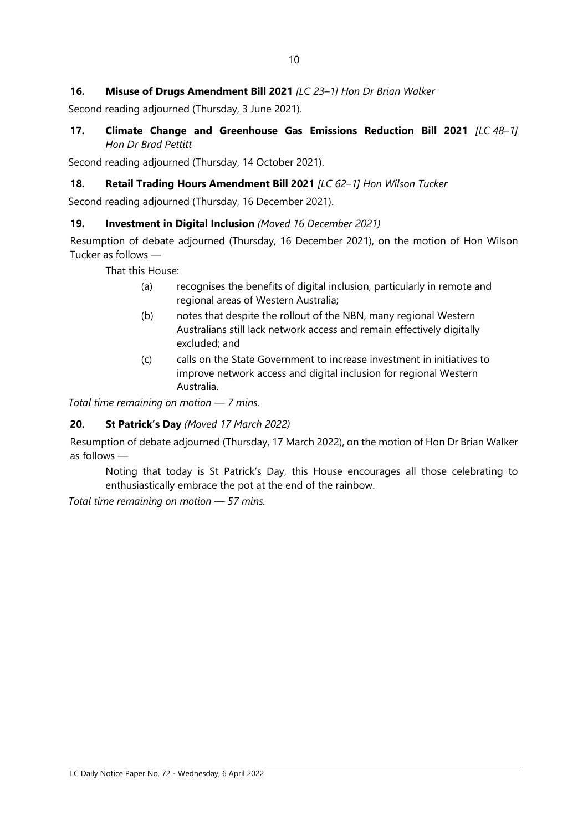#### **16. Misuse of Drugs Amendment Bill 2021** *[LC 23–1] Hon Dr Brian Walker*

Second reading adjourned (Thursday, 3 June 2021).

**17. Climate Change and Greenhouse Gas Emissions Reduction Bill 2021** *[LC 48–1] Hon Dr Brad Pettitt*

Second reading adjourned (Thursday, 14 October 2021).

#### **18. Retail Trading Hours Amendment Bill 2021** *[LC 62–1] Hon Wilson Tucker*

Second reading adjourned (Thursday, 16 December 2021).

#### **19. Investment in Digital Inclusion** *(Moved 16 December 2021)*

Resumption of debate adjourned (Thursday, 16 December 2021), on the motion of Hon Wilson Tucker as follows —

That this House:

- (a) recognises the benefits of digital inclusion, particularly in remote and regional areas of Western Australia;
- (b) notes that despite the rollout of the NBN, many regional Western Australians still lack network access and remain effectively digitally excluded; and
- (c) calls on the State Government to increase investment in initiatives to improve network access and digital inclusion for regional Western Australia.

*Total time remaining on motion — 7 mins.*

#### **20. St Patrick's Day** *(Moved 17 March 2022)*

Resumption of debate adjourned (Thursday, 17 March 2022), on the motion of Hon Dr Brian Walker as follows —

Noting that today is St Patrick's Day, this House encourages all those celebrating to enthusiastically embrace the pot at the end of the rainbow.

*Total time remaining on motion — 57 mins.*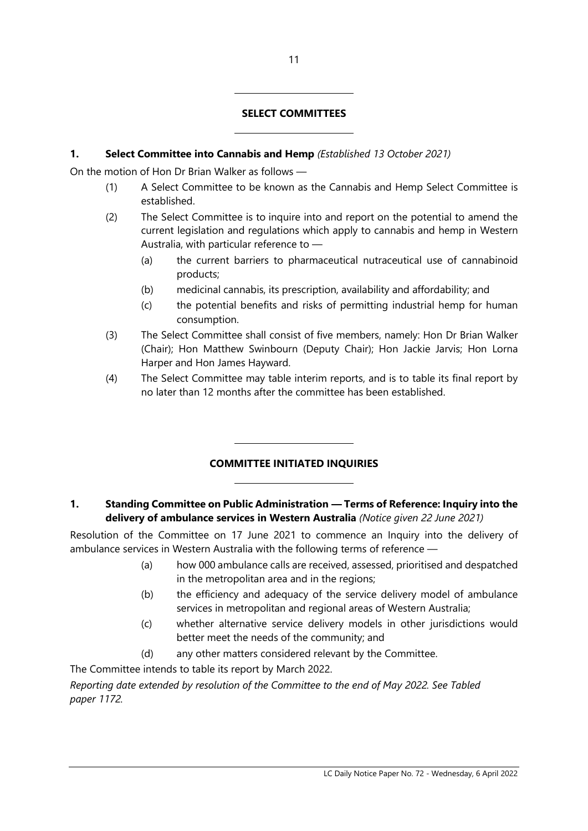#### **SELECT COMMITTEES**

#### **1. Select Committee into Cannabis and Hemp** *(Established 13 October 2021)*

 $\overline{a}$ 

 $\overline{a}$ 

 $\overline{a}$ 

 $\overline{a}$ 

On the motion of Hon Dr Brian Walker as follows —

- (1) A Select Committee to be known as the Cannabis and Hemp Select Committee is established.
- (2) The Select Committee is to inquire into and report on the potential to amend the current legislation and regulations which apply to cannabis and hemp in Western Australia, with particular reference to —
	- (a) the current barriers to pharmaceutical nutraceutical use of cannabinoid products;
	- (b) medicinal cannabis, its prescription, availability and affordability; and
	- (c) the potential benefits and risks of permitting industrial hemp for human consumption.
- (3) The Select Committee shall consist of five members, namely: Hon Dr Brian Walker (Chair); Hon Matthew Swinbourn (Deputy Chair); Hon Jackie Jarvis; Hon Lorna Harper and Hon James Hayward.
- (4) The Select Committee may table interim reports, and is to table its final report by no later than 12 months after the committee has been established.

#### **COMMITTEE INITIATED INQUIRIES**

#### **1. Standing Committee on Public Administration — Terms of Reference: Inquiry into the delivery of ambulance services in Western Australia** *(Notice given 22 June 2021)*

Resolution of the Committee on 17 June 2021 to commence an Inquiry into the delivery of ambulance services in Western Australia with the following terms of reference —

- (a) how 000 ambulance calls are received, assessed, prioritised and despatched in the metropolitan area and in the regions;
- (b) the efficiency and adequacy of the service delivery model of ambulance services in metropolitan and regional areas of Western Australia;
- (c) whether alternative service delivery models in other jurisdictions would better meet the needs of the community; and
- (d) any other matters considered relevant by the Committee.

The Committee intends to table its report by March 2022.

*Reporting date extended by resolution of the Committee to the end of May 2022. See Tabled paper 1172.*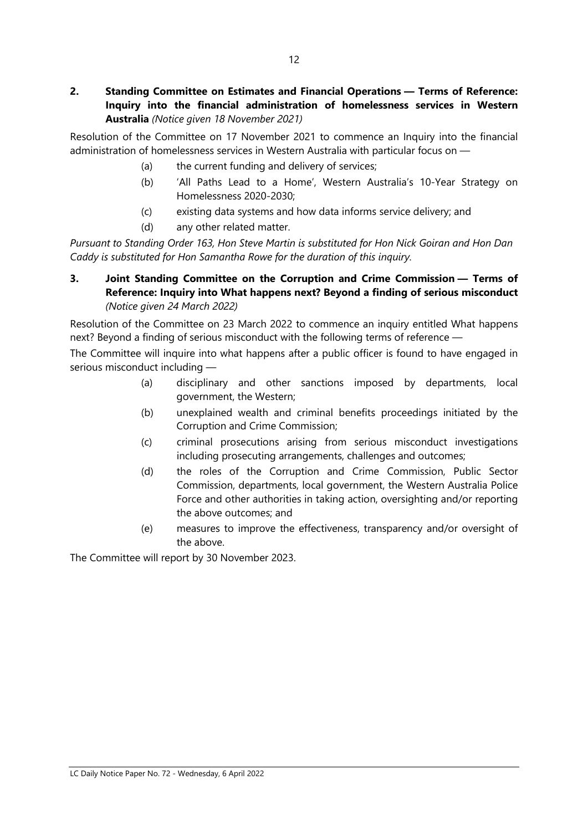#### **2. Standing Committee on Estimates and Financial Operations — Terms of Reference: Inquiry into the financial administration of homelessness services in Western Australia** *(Notice given 18 November 2021)*

Resolution of the Committee on 17 November 2021 to commence an Inquiry into the financial administration of homelessness services in Western Australia with particular focus on —

- (a) the current funding and delivery of services;
- (b) 'All Paths Lead to a Home', Western Australia's 10-Year Strategy on Homelessness 2020-2030;
- (c) existing data systems and how data informs service delivery; and
- (d) any other related matter.

*Pursuant to Standing Order 163, Hon Steve Martin is substituted for Hon Nick Goiran and Hon Dan Caddy is substituted for Hon Samantha Rowe for the duration of this inquiry.*

#### **3. Joint Standing Committee on the Corruption and Crime Commission — Terms of Reference: Inquiry into What happens next? Beyond a finding of serious misconduct** *(Notice given 24 March 2022)*

Resolution of the Committee on 23 March 2022 to commence an inquiry entitled What happens next? Beyond a finding of serious misconduct with the following terms of reference —

The Committee will inquire into what happens after a public officer is found to have engaged in serious misconduct including —

- (a) disciplinary and other sanctions imposed by departments, local government, the Western;
- (b) unexplained wealth and criminal benefits proceedings initiated by the Corruption and Crime Commission;
- (c) criminal prosecutions arising from serious misconduct investigations including prosecuting arrangements, challenges and outcomes;
- (d) the roles of the Corruption and Crime Commission, Public Sector Commission, departments, local government, the Western Australia Police Force and other authorities in taking action, oversighting and/or reporting the above outcomes; and
- (e) measures to improve the effectiveness, transparency and/or oversight of the above.

The Committee will report by 30 November 2023.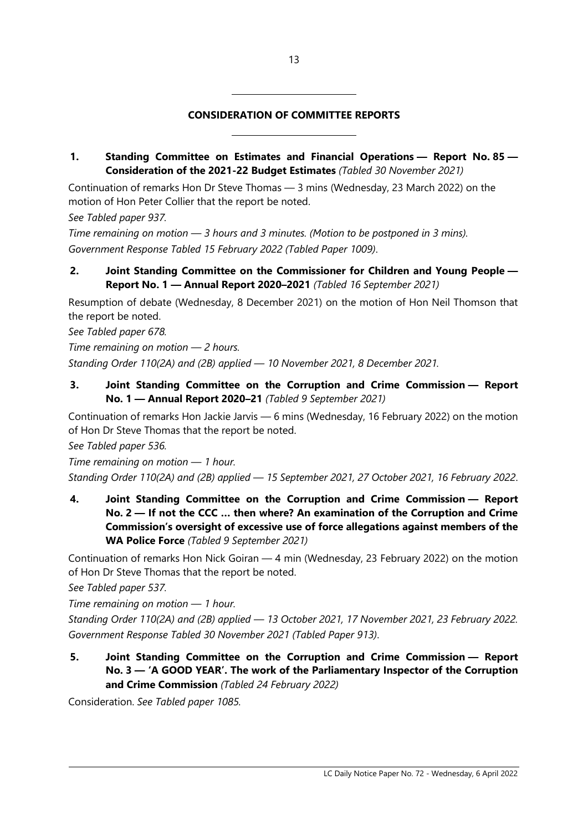#### **CONSIDERATION OF COMMITTEE REPORTS**

#### **1. Standing Committee on Estimates and Financial Operations — Report No. 85 — Consideration of the 2021-22 Budget Estimates** *(Tabled 30 November 2021)*

Continuation of remarks Hon Dr Steve Thomas — 3 mins (Wednesday, 23 March 2022) on the motion of Hon Peter Collier that the report be noted.

*See Tabled paper 937.*

*Time remaining on motion — 3 hours and 3 minutes. (Motion to be postponed in 3 mins). Government Response Tabled 15 February 2022 (Tabled Paper 1009)*.

 $\overline{\phantom{a}}$ 

 $\overline{\phantom{a}}$ 

#### **2. Joint Standing Committee on the Commissioner for Children and Young People — Report No. 1 — Annual Report 2020–2021** *(Tabled 16 September 2021)*

Resumption of debate (Wednesday, 8 December 2021) on the motion of Hon Neil Thomson that the report be noted.

*See Tabled paper 678.*

*Time remaining on motion — 2 hours.* 

*Standing Order 110(2A) and (2B) applied — 10 November 2021, 8 December 2021.*

#### **3. Joint Standing Committee on the Corruption and Crime Commission — Report No. 1 — Annual Report 2020–21** *(Tabled 9 September 2021)*

Continuation of remarks Hon Jackie Jarvis — 6 mins (Wednesday, 16 February 2022) on the motion of Hon Dr Steve Thomas that the report be noted.

*See Tabled paper 536.*

*Time remaining on motion — 1 hour. Standing Order 110(2A) and (2B) applied — 15 September 2021, 27 October 2021, 16 February 2022*.

**4. Joint Standing Committee on the Corruption and Crime Commission — Report No. 2 — If not the CCC … then where? An examination of the Corruption and Crime Commission's oversight of excessive use of force allegations against members of the WA Police Force** *(Tabled 9 September 2021)*

Continuation of remarks Hon Nick Goiran — 4 min (Wednesday, 23 February 2022) on the motion of Hon Dr Steve Thomas that the report be noted.

*See Tabled paper 537.*

*Time remaining on motion — 1 hour.*

*Standing Order 110(2A) and (2B) applied — 13 October 2021, 17 November 2021, 23 February 2022. Government Response Tabled 30 November 2021 (Tabled Paper 913)*.

**5. Joint Standing Committee on the Corruption and Crime Commission — Report No. 3 — 'A GOOD YEAR'. The work of the Parliamentary Inspector of the Corruption and Crime Commission** *(Tabled 24 February 2022)*

Consideration. *See Tabled paper 1085.*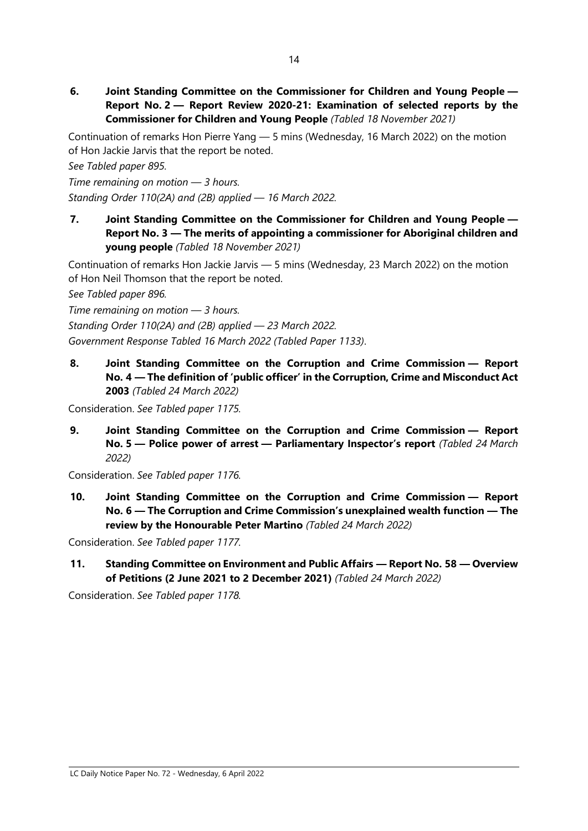**6. Joint Standing Committee on the Commissioner for Children and Young People — Report No. 2 — Report Review 2020-21: Examination of selected reports by the Commissioner for Children and Young People** *(Tabled 18 November 2021)*

Continuation of remarks Hon Pierre Yang — 5 mins (Wednesday, 16 March 2022) on the motion of Hon Jackie Jarvis that the report be noted.

*See Tabled paper 895.*

*Time remaining on motion — 3 hours. Standing Order 110(2A) and (2B) applied — 16 March 2022.*

**7. Joint Standing Committee on the Commissioner for Children and Young People — Report No. 3 — The merits of appointing a commissioner for Aboriginal children and young people** *(Tabled 18 November 2021)*

Continuation of remarks Hon Jackie Jarvis — 5 mins (Wednesday, 23 March 2022) on the motion of Hon Neil Thomson that the report be noted.

*See Tabled paper 896.*

*Time remaining on motion — 3 hours.*

*Standing Order 110(2A) and (2B) applied — 23 March 2022.*

*Government Response Tabled 16 March 2022 (Tabled Paper 1133)*.

**8. Joint Standing Committee on the Corruption and Crime Commission — Report No. 4 — The definition of 'public officer' in the Corruption, Crime and Misconduct Act 2003** *(Tabled 24 March 2022)*

Consideration. *See Tabled paper 1175.*

**9. Joint Standing Committee on the Corruption and Crime Commission — Report No. 5 — Police power of arrest — Parliamentary Inspector's report** *(Tabled 24 March 2022)*

Consideration. *See Tabled paper 1176.*

**10. Joint Standing Committee on the Corruption and Crime Commission — Report No. 6 — The Corruption and Crime Commission's unexplained wealth function — The review by the Honourable Peter Martino** *(Tabled 24 March 2022)*

Consideration. *See Tabled paper 1177.*

**11. Standing Committee on Environment and Public Affairs — Report No. 58 — Overview of Petitions (2 June 2021 to 2 December 2021)** *(Tabled 24 March 2022)*

Consideration. *See Tabled paper 1178.*